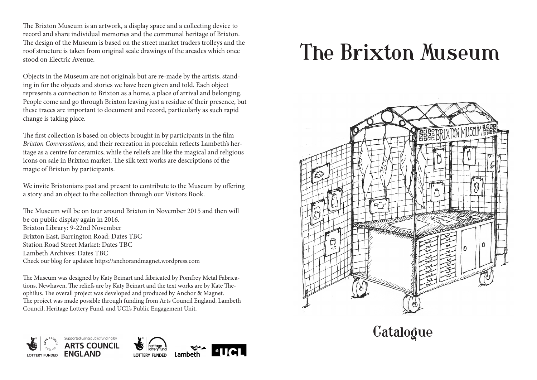The Brixton Museum is an artwork, a display space and a collecting device to record and share individual memories and the communal heritage of Brixton. The design of the Museum is based on the street market traders trolleys and the roof structure is taken from original scale drawings of the arcades which once stood on Electric Avenue.

Objects in the Museum are not originals but are re-made by the artists, standing in for the objects and stories we have been given and told. Each object represents a connection to Brixton as a home, a place of arrival and belonging. People come and go through Brixton leaving just a residue of their presence, but these traces are important to document and record, particularly as such rapid change is taking place.

The first collection is based on objects brought in by participants in the film *Brixton Conversations*, and their recreation in porcelain reflects Lambeth's heritage as a centre for ceramics, while the reliefs are like the magical and religious icons on sale in Brixton market. The silk text works are descriptions of the magic of Brixton by participants.

We invite Brixtonians past and present to contribute to the Museum by offering a story and an object to the collection through our Visitors Book.

The Museum will be on tour around Brixton in November 2015 and then will be on public display again in 2016. Brixton Library: 9-22nd November Brixton East, Barrington Road: Dates TBC Station Road Street Market: Dates TBC Lambeth Archives: Dates TBC Check our blog for updates: https://anchorandmagnet.wordpress.com

The Museum was designed by Katy Beinart and fabricated by Pomfrey Metal Fabrications, Newhaven. The reliefs are by Katy Beinart and the text works are by Kate Theophilus. The overall project was developed and produced by Anchor & Magnet. The project was made possible through funding from Arts Council England, Lambeth Council, Heritage Lottery Fund, and UCL's Public Engagement Unit.



## The Brixton Museum



**Catalogue**